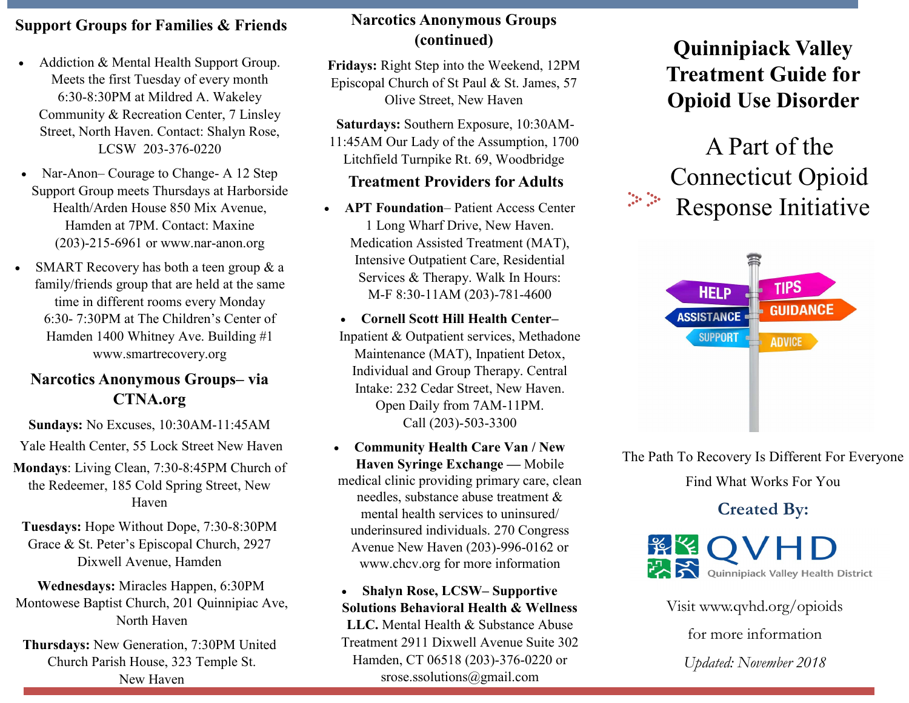# **Support Groups for Families & Friends**

- Addiction & Mental Health Support Group. Meets the first Tuesday of every month 6:30-8:30PM at Mildred A. Wakeley Community & Recreation Center, 7 Linsley Street, North Haven. Contact: Shalyn Rose, LCSW 203-376-0220
- Nar-Anon– Courage to Change- A 12 Step Support Group meets Thursdays at Harborside Health/Arden House 850 Mix Avenue, Hamden at 7PM. Contact: Maxine (203)-215-6961 or www.nar-anon.org
- SMART Recovery has both a teen group & a family/friends group that are held at the same time in different rooms every Monday 6:30- 7:30PM at The Children's Center of Hamden 1400 Whitney Ave. Building #1 www.smartrecovery.org

# **Narcotics Anonymous Groups– via CTNA.org**

**Sundays:** No Excuses, 10:30AM-11:45AM

Yale Health Center, 55 Lock Street New Haven

**Mondays**: Living Clean, 7:30-8:45PM Church of the Redeemer, 185 Cold Spring Street, New Haven

**Tuesdays:** Hope Without Dope, 7:30-8:30PM Grace & St. Peter's Episcopal Church, 2927 Dixwell Avenue, Hamden

**Wednesdays:** Miracles Happen, 6:30PM Montowese Baptist Church, 201 Quinnipiac Ave, North Haven

**Thursdays:** New Generation, 7:30PM United Church Parish House, 323 Temple St. New Haven

# **Narcotics Anonymous Groups (continued)**

**Fridays:** Right Step into the Weekend, 12PM Episcopal Church of St Paul & St. James, 57 Olive Street, New Haven

**Saturdays:** Southern Exposure, 10:30AM-11:45AM Our Lady of the Assumption, 1700 Litchfield Turnpike Rt. 69, Woodbridge

# **Treatment Providers for Adults**

• **APT Foundation**– Patient Access Center 1 Long Wharf Drive, New Haven. Medication Assisted Treatment (MAT), Intensive Outpatient Care, Residential Services & Therapy. Walk In Hours: M-F 8:30-11AM (203)-781-4600

• **Cornell Scott Hill Health Center–**  Inpatient & Outpatient services, Methadone Maintenance (MAT), Inpatient Detox, Individual and Group Therapy. Central Intake: 232 Cedar Street, New Haven. Open Daily from 7AM-11PM. Call (203)-503-3300

- **Community Health Care Van / New Haven Syringe Exchange —** Mobile medical clinic providing primary care, clean needles, substance abuse treatment & mental health services to uninsured/ underinsured individuals. 270 Congress Avenue New Haven (203)-996-0162 or www.chcv.org for more information
- **Shalyn Rose, LCSW– Supportive Solutions Behavioral Health & Wellness LLC.** Mental Health & Substance Abuse Treatment 2911 Dixwell Avenue Suite 302 Hamden, CT 06518 (203)-376-0220 or srose.ssolutions@gmail.com

# **Quinnipiack Valley Treatment Guide for Opioid Use Disorder**





The Path To Recovery Is Different For Everyone

Find What Works For You

**Created By:** 



Visit www.qvhd.org/opioids for more information *Updated: November 2018*